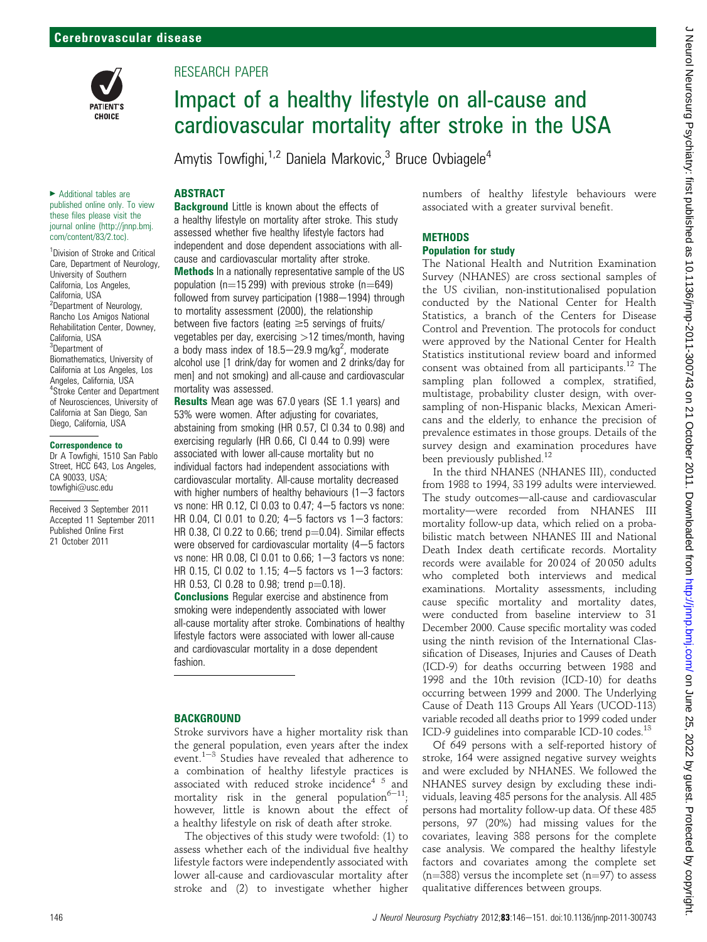

# RESEARCH PAPER

# Impact of a healthy lifestyle on all-cause and cardiovascular mortality after stroke in the USA

Amytis Towfighi,<sup>1,2</sup> Daniela Markovic,<sup>3</sup> Bruce Ovbiagele<sup>4</sup>

# **ABSTRACT**

▶ Additional tables are published online only. To view these files please visit the journal online (http://jnnp.bmj. com/content/83/2.toc).

<sup>1</sup>Division of Stroke and Critical Care, Department of Neurology, University of Southern California, Los Angeles, California, USA <sup>2</sup>Department of Neurology, Rancho Los Amigos National Rehabilitation Center, Downey, California, USA 3 Department of Biomathematics, University of California at Los Angeles, Los Angeles, California, USA 4 Stroke Center and Department of Neurosciences, University of California at San Diego, San Diego, California, USA

#### Correspondence to

Dr A Towfighi, 1510 San Pablo Street, HCC 643, Los Angeles, CA 90033, USA; towfighi@usc.edu

Received 3 September 2011 Accepted 11 September 2011 Published Online First 21 October 2011

**Background** Little is known about the effects of a healthy lifestyle on mortality after stroke. This study assessed whether five healthy lifestyle factors had independent and dose dependent associations with allcause and cardiovascular mortality after stroke. Methods In a nationally representative sample of the US population ( $n=15$  299) with previous stroke ( $n=649$ ) followed from survey participation (1988–1994) through to mortality assessment (2000), the relationship between five factors (eating  $\geq$  5 servings of fruits/ vegetables per day, exercising  $>12$  times/month, having a body mass index of  $18.5-29.9$  mg/kg<sup>2</sup>, moderate alcohol use [1 drink/day for women and 2 drinks/day for men] and not smoking) and all-cause and cardiovascular mortality was assessed.

Results Mean age was 67.0 years (SE 1.1 years) and 53% were women. After adjusting for covariates, abstaining from smoking (HR 0.57, CI 0.34 to 0.98) and exercising regularly (HR 0.66, CI 0.44 to 0.99) were associated with lower all-cause mortality but no individual factors had independent associations with cardiovascular mortality. All-cause mortality decreased with higher numbers of healthy behaviours  $(1-3$  factors vs none: HR 0.12, CI 0.03 to 0.47;  $4-5$  factors vs none: HR 0.04, CI 0.01 to 0.20;  $4-5$  factors vs  $1-3$  factors: HR 0.38, CI 0.22 to 0.66; trend  $p=0.04$ ). Similar effects were observed for cardiovascular mortality  $(4-5$  factors vs none: HR 0.08, CI 0.01 to 0.66;  $1-3$  factors vs none: HR 0.15, CI 0.02 to 1.15;  $4-5$  factors vs  $1-3$  factors: HR 0.53, CI 0.28 to 0.98; trend  $p=0.18$ ).

Conclusions Regular exercise and abstinence from smoking were independently associated with lower all-cause mortality after stroke. Combinations of healthy lifestyle factors were associated with lower all-cause and cardiovascular mortality in a dose dependent fashion.

# **BACKGROUND**

Stroke survivors have a higher mortality risk than the general population, even years after the index event.<sup>1-3</sup> Studies have revealed that adherence to a combination of healthy lifestyle practices is associated with reduced stroke incidence $45$  and mortality risk in the general population<sup>6-11</sup>; however, little is known about the effect of a healthy lifestyle on risk of death after stroke.

The objectives of this study were twofold: (1) to assess whether each of the individual five healthy lifestyle factors were independently associated with lower all-cause and cardiovascular mortality after stroke and (2) to investigate whether higher

numbers of healthy lifestyle behaviours were associated with a greater survival benefit.

#### **METHODS** Population for study

The National Health and Nutrition Examination Survey (NHANES) are cross sectional samples of the US civilian, non-institutionalised population conducted by the National Center for Health Statistics, a branch of the Centers for Disease Control and Prevention. The protocols for conduct were approved by the National Center for Health Statistics institutional review board and informed consent was obtained from all participants.<sup>12</sup> The sampling plan followed a complex, stratified, multistage, probability cluster design, with oversampling of non-Hispanic blacks, Mexican Americans and the elderly, to enhance the precision of prevalence estimates in those groups. Details of the survey design and examination procedures have been previously published.<sup>12</sup>

In the third NHANES (NHANES III), conducted from 1988 to 1994, 33 199 adults were interviewed. The study outcomes-all-cause and cardiovascular mortality-were recorded from NHANES III mortality follow-up data, which relied on a probabilistic match between NHANES III and National Death Index death certificate records. Mortality records were available for 20 024 of 20 050 adults who completed both interviews and medical examinations. Mortality assessments, including cause specific mortality and mortality dates, were conducted from baseline interview to 31 December 2000. Cause specific mortality was coded using the ninth revision of the International Classification of Diseases, Injuries and Causes of Death (ICD-9) for deaths occurring between 1988 and 1998 and the 10th revision (ICD-10) for deaths occurring between 1999 and 2000. The Underlying Cause of Death 113 Groups All Years (UCOD-113) variable recoded all deaths prior to 1999 coded under ICD-9 guidelines into comparable ICD-10 codes. $^{13}$ 

Of 649 persons with a self-reported history of stroke, 164 were assigned negative survey weights and were excluded by NHANES. We followed the NHANES survey design by excluding these individuals, leaving 485 persons for the analysis. All 485 persons had mortality follow-up data. Of these 485 persons, 97 (20%) had missing values for the covariates, leaving 388 persons for the complete case analysis. We compared the healthy lifestyle factors and covariates among the complete set (n=388) versus the incomplete set (n=97) to assess qualitative differences between groups.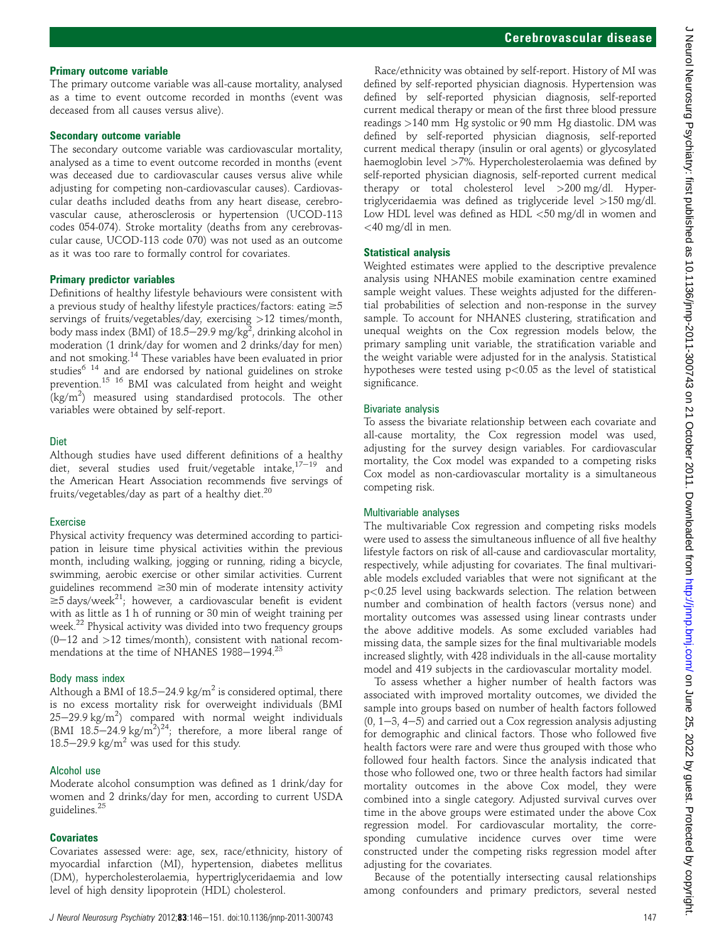### Primary outcome variable

The primary outcome variable was all-cause mortality, analysed as a time to event outcome recorded in months (event was deceased from all causes versus alive).

#### Secondary outcome variable

The secondary outcome variable was cardiovascular mortality, analysed as a time to event outcome recorded in months (event was deceased due to cardiovascular causes versus alive while adjusting for competing non-cardiovascular causes). Cardiovascular deaths included deaths from any heart disease, cerebrovascular cause, atherosclerosis or hypertension (UCOD-113 codes 054-074). Stroke mortality (deaths from any cerebrovascular cause, UCOD-113 code 070) was not used as an outcome as it was too rare to formally control for covariates.

#### Primary predictor variables

Definitions of healthy lifestyle behaviours were consistent with a previous study of healthy lifestyle practices/factors: eating  $\geq 5$ servings of fruits/vegetables/day, exercising >12 times/month, body mass index (BMI) of 18.5 $-$ 29.9 mg/kg $^2$ , drinking alcohol in moderation (1 drink/day for women and 2 drinks/day for men) and not smoking.14 These variables have been evaluated in prior studies<sup>6 14</sup> and are endorsed by national guidelines on stroke prevention.15 16 BMI was calculated from height and weight  $(kg/m<sup>2</sup>)$  measured using standardised protocols. The other variables were obtained by self-report.

### **Diet**

Although studies have used different definitions of a healthy diet, several studies used fruit/vegetable intake, $17-19$  and the American Heart Association recommends five servings of fruits/vegetables/day as part of a healthy diet.<sup>20</sup>

# Exercise

Physical activity frequency was determined according to participation in leisure time physical activities within the previous month, including walking, jogging or running, riding a bicycle, swimming, aerobic exercise or other similar activities. Current guidelines recommend  $\geq$ 30 min of moderate intensity activity  $\geq 5$  days/week<sup>21</sup>; however, a cardiovascular benefit is evident with as little as 1 h of running or 30 min of weight training per week.22 Physical activity was divided into two frequency groups  $(0-12$  and  $>12$  times/month), consistent with national recommendations at the time of NHANES 1988-1994.<sup>23</sup>

#### Body mass index

Although a BMI of  $18.5-24.9$  kg/m<sup>2</sup> is considered optimal, there is no excess mortality risk for overweight individuals (BMI  $25-29.9$  kg/m<sup>2</sup>) compared with normal weight individuals (BMI 18.5-24.9 kg/m<sup>2</sup>)<sup>24</sup>; therefore, a more liberal range of 18.5–29.9 kg/m<sup>2</sup> was used for this study.

#### Alcohol use

Moderate alcohol consumption was defined as 1 drink/day for women and 2 drinks/day for men, according to current USDA guidelines.<sup>25</sup>

# **Covariates**

Covariates assessed were: age, sex, race/ethnicity, history of myocardial infarction (MI), hypertension, diabetes mellitus (DM), hypercholesterolaemia, hypertriglyceridaemia and low level of high density lipoprotein (HDL) cholesterol.

Race/ethnicity was obtained by self-report. History of MI was defined by self-reported physician diagnosis. Hypertension was defined by self-reported physician diagnosis, self-reported current medical therapy or mean of the first three blood pressure readings >140 mm Hg systolic or 90 mm Hg diastolic. DM was defined by self-reported physician diagnosis, self-reported current medical therapy (insulin or oral agents) or glycosylated haemoglobin level >7%. Hypercholesterolaemia was defined by self-reported physician diagnosis, self-reported current medical therapy or total cholesterol level >200 mg/dl. Hypertriglyceridaemia was defined as triglyceride level >150 mg/dl. Low HDL level was defined as HDL <50 mg/dl in women and <40 mg/dl in men.

### Statistical analysis

Weighted estimates were applied to the descriptive prevalence analysis using NHANES mobile examination centre examined sample weight values. These weights adjusted for the differential probabilities of selection and non-response in the survey sample. To account for NHANES clustering, stratification and unequal weights on the Cox regression models below, the primary sampling unit variable, the stratification variable and the weight variable were adjusted for in the analysis. Statistical hypotheses were tested using  $p < 0.05$  as the level of statistical significance.

#### Bivariate analysis

To assess the bivariate relationship between each covariate and all-cause mortality, the Cox regression model was used, adjusting for the survey design variables. For cardiovascular mortality, the Cox model was expanded to a competing risks Cox model as non-cardiovascular mortality is a simultaneous competing risk.

#### Multivariable analyses

The multivariable Cox regression and competing risks models were used to assess the simultaneous influence of all five healthy lifestyle factors on risk of all-cause and cardiovascular mortality, respectively, while adjusting for covariates. The final multivariable models excluded variables that were not significant at the p<0.25 level using backwards selection. The relation between number and combination of health factors (versus none) and mortality outcomes was assessed using linear contrasts under the above additive models. As some excluded variables had missing data, the sample sizes for the final multivariable models increased slightly, with 428 individuals in the all-cause mortality model and 419 subjects in the cardiovascular mortality model.

To assess whether a higher number of health factors was associated with improved mortality outcomes, we divided the sample into groups based on number of health factors followed  $(0, 1-3, 4-5)$  and carried out a Cox regression analysis adjusting for demographic and clinical factors. Those who followed five health factors were rare and were thus grouped with those who followed four health factors. Since the analysis indicated that those who followed one, two or three health factors had similar mortality outcomes in the above Cox model, they were combined into a single category. Adjusted survival curves over time in the above groups were estimated under the above Cox regression model. For cardiovascular mortality, the corresponding cumulative incidence curves over time were constructed under the competing risks regression model after adjusting for the covariates.

Because of the potentially intersecting causal relationships among confounders and primary predictors, several nested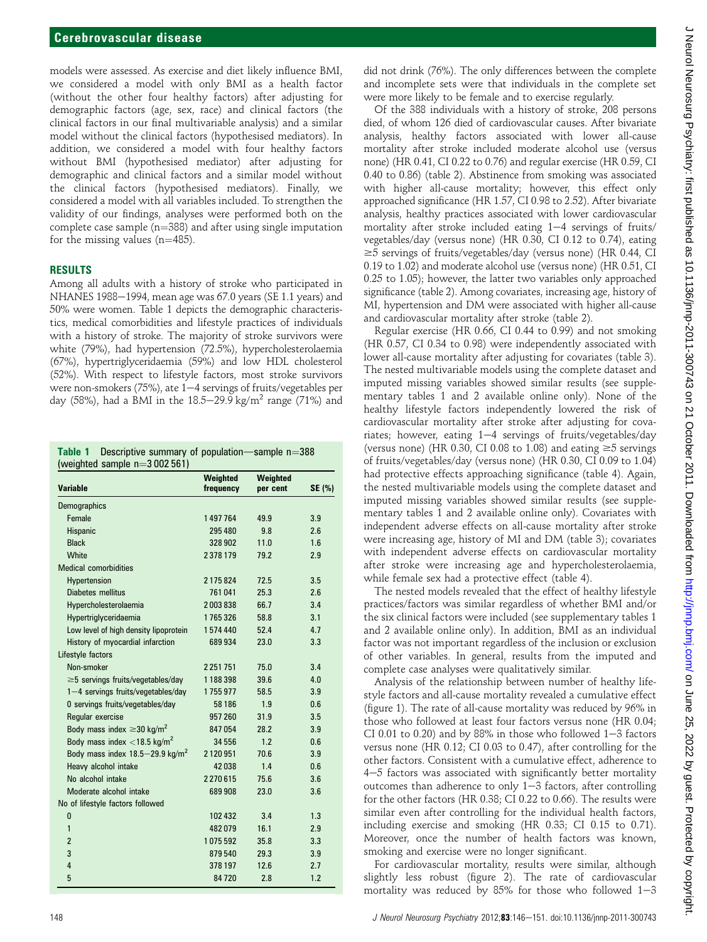models were assessed. As exercise and diet likely influence BMI, we considered a model with only BMI as a health factor (without the other four healthy factors) after adjusting for demographic factors (age, sex, race) and clinical factors (the clinical factors in our final multivariable analysis) and a similar model without the clinical factors (hypothesised mediators). In addition, we considered a model with four healthy factors without BMI (hypothesised mediator) after adjusting for demographic and clinical factors and a similar model without the clinical factors (hypothesised mediators). Finally, we considered a model with all variables included. To strengthen the validity of our findings, analyses were performed both on the complete case sample  $(n=388)$  and after using single imputation for the missing values  $(n=485)$ .

#### RESULTS

Among all adults with a history of stroke who participated in NHANES 1988 $-$ 1994, mean age was 67.0 years (SE 1.1 years) and 50% were women. Table 1 depicts the demographic characteristics, medical comorbidities and lifestyle practices of individuals with a history of stroke. The majority of stroke survivors were white (79%), had hypertension (72.5%), hypercholesterolaemia (67%), hypertriglyceridaemia (59%) and low HDL cholesterol (52%). With respect to lifestyle factors, most stroke survivors were non-smokers (75%), ate 1-4 servings of fruits/vegetables per day (58%), had a BMI in the 18.5–29.9 kg/m<sup>2</sup> range (71%) and

| <b>Variable</b>                             | Weighted<br>frequency | Weighted<br>per cent | SE (%) |
|---------------------------------------------|-----------------------|----------------------|--------|
| Demographics                                |                       |                      |        |
| Female                                      | 1497764               | 49.9                 | 3.9    |
| Hispanic                                    | 295 480               | 9.8                  | 2.6    |
| <b>Black</b>                                | 328 902               | 11.0                 | 1.6    |
| <b>White</b>                                | 2378179               | 79.2                 | 2.9    |
| <b>Medical comorbidities</b>                |                       |                      |        |
| Hypertension                                | 2175824               | 72.5                 | 3.5    |
| Diabetes mellitus                           | 761041                | 25.3                 | 2.6    |
| Hypercholesterolaemia                       | 2003838               | 66.7                 | 3.4    |
| Hypertriglyceridaemia                       | 1765326               | 58.8                 | 3.1    |
| Low level of high density lipoprotein       | 1574440               | 52.4                 | 4.7    |
| History of myocardial infarction            | 689934                | 23.0                 | 3.3    |
| Lifestyle factors                           |                       |                      |        |
| Non-smoker                                  | 2251751               | 75.0                 | 3.4    |
| $\geq$ 5 servings fruits/vegetables/day     | 1188398               | 39.6                 | 4.0    |
| 1-4 servings fruits/vegetables/day          | 1755977               | 58.5                 | 3.9    |
| 0 servings fruits/vegetables/day            | 58 186                | 1.9                  | 0.6    |
| Regular exercise                            | 957 260               | 31.9                 | 3.5    |
| Body mass index $\geq$ 30 kg/m <sup>2</sup> | 847054                | 28.2                 | 3.9    |
| Body mass index <18.5 kg/m <sup>2</sup>     | 34 556                | 1.2                  | 0.6    |
| Body mass index 18.5-29.9 kg/m <sup>2</sup> | 2120951               | 70.6                 | 3.9    |
| Heavy alcohol intake                        | 42038                 | 1.4                  | 0.6    |
| No alcohol intake                           | 2270615               | 75.6                 | 3.6    |
| Moderate alcohol intake                     | 689 908               | 23.0                 | 3.6    |
| No of lifestyle factors followed            |                       |                      |        |
| 0                                           | 102432                | 3.4                  | 1.3    |
| 1                                           | 482079                | 16.1                 | 2.9    |
| $\overline{2}$                              | 1075592               | 35.8                 | 3.3    |
| 3                                           | 879540                | 29.3                 | 3.9    |
| 4                                           | 378 197               | 12.6                 | 2.7    |
| 5                                           | 84720                 | 2.8                  | 1.2    |

did not drink (76%). The only differences between the complete and incomplete sets were that individuals in the complete set were more likely to be female and to exercise regularly.

Of the 388 individuals with a history of stroke, 208 persons died, of whom 126 died of cardiovascular causes. After bivariate analysis, healthy factors associated with lower all-cause mortality after stroke included moderate alcohol use (versus none) (HR 0.41, CI 0.22 to 0.76) and regular exercise (HR 0.59, CI 0.40 to 0.86) (table 2). Abstinence from smoking was associated with higher all-cause mortality; however, this effect only approached significance (HR 1.57, CI 0.98 to 2.52). After bivariate analysis, healthy practices associated with lower cardiovascular mortality after stroke included eating  $1-4$  servings of fruits/ vegetables/day (versus none) (HR 0.30, CI 0.12 to 0.74), eating  $\geq$ 5 servings of fruits/vegetables/day (versus none) (HR 0.44, CI 0.19 to 1.02) and moderate alcohol use (versus none) (HR 0.51, CI 0.25 to 1.05); however, the latter two variables only approached significance (table 2). Among covariates, increasing age, history of MI, hypertension and DM were associated with higher all-cause and cardiovascular mortality after stroke (table 2).

Regular exercise (HR 0.66, CI 0.44 to 0.99) and not smoking (HR 0.57, CI 0.34 to 0.98) were independently associated with lower all-cause mortality after adjusting for covariates (table 3). The nested multivariable models using the complete dataset and imputed missing variables showed similar results (see supplementary tables 1 and 2 available online only). None of the healthy lifestyle factors independently lowered the risk of cardiovascular mortality after stroke after adjusting for covariates; however, eating  $1-4$  servings of fruits/vegetables/day (versus none) (HR 0.30, CI 0.08 to 1.08) and eating  $\geq$ 5 servings of fruits/vegetables/day (versus none) (HR 0.30, CI 0.09 to 1.04) had protective effects approaching significance (table 4). Again, the nested multivariable models using the complete dataset and imputed missing variables showed similar results (see supplementary tables 1 and 2 available online only). Covariates with independent adverse effects on all-cause mortality after stroke were increasing age, history of MI and DM (table 3); covariates with independent adverse effects on cardiovascular mortality after stroke were increasing age and hypercholesterolaemia, while female sex had a protective effect (table 4).

The nested models revealed that the effect of healthy lifestyle practices/factors was similar regardless of whether BMI and/or the six clinical factors were included (see supplementary tables 1 and 2 available online only). In addition, BMI as an individual factor was not important regardless of the inclusion or exclusion of other variables. In general, results from the imputed and complete case analyses were qualitatively similar.

Analysis of the relationship between number of healthy lifestyle factors and all-cause mortality revealed a cumulative effect (figure 1). The rate of all-cause mortality was reduced by 96% in those who followed at least four factors versus none (HR 0.04; CI 0.01 to 0.20) and by 88% in those who followed  $1-3$  factors versus none (HR 0.12; CI 0.03 to 0.47), after controlling for the other factors. Consistent with a cumulative effect, adherence to 4-5 factors was associated with significantly better mortality outcomes than adherence to only  $1-3$  factors, after controlling for the other factors (HR 0.38; CI 0.22 to 0.66). The results were similar even after controlling for the individual health factors, including exercise and smoking (HR 0.33; CI 0.15 to 0.71). Moreover, once the number of health factors was known, smoking and exercise were no longer significant.

For cardiovascular mortality, results were similar, although slightly less robust (figure 2). The rate of cardiovascular mortality was reduced by 85% for those who followed  $1-3$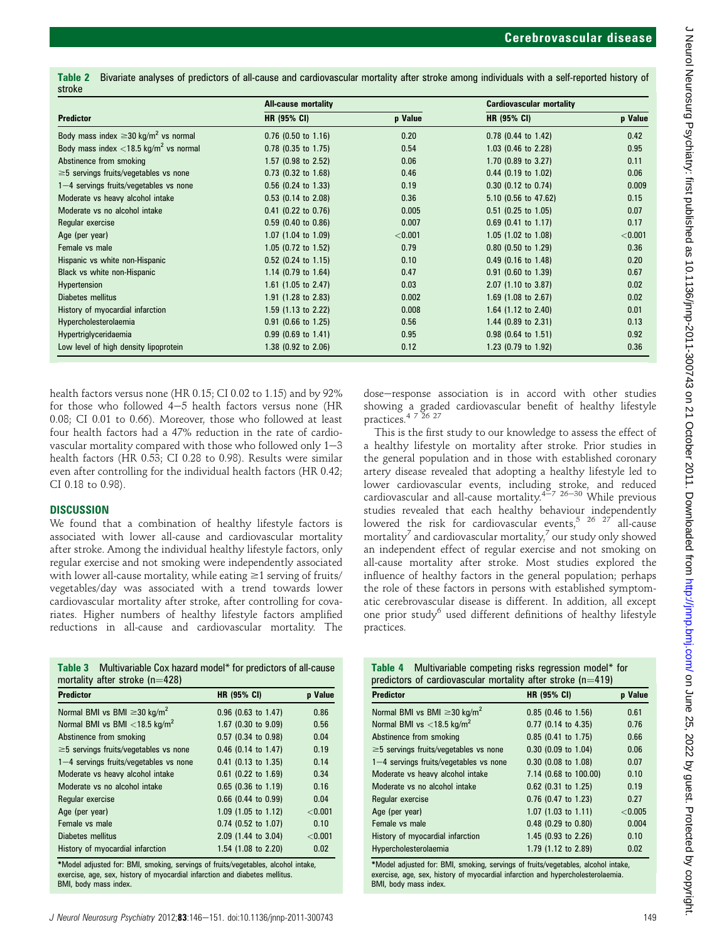Table 2 Bivariate analyses of predictors of all-cause and cardiovascular mortality after stroke among individuals with a self-reported history of stroke

|                                                       | <b>All-cause mortality</b> |         | <b>Cardiovascular mortality</b> |         |
|-------------------------------------------------------|----------------------------|---------|---------------------------------|---------|
| <b>Predictor</b>                                      | <b>HR (95% CI)</b>         | p Value | <b>HR (95% CI)</b>              | p Value |
| Body mass index $\geq$ 30 kg/m <sup>2</sup> vs normal | $0.76$ (0.50 to 1.16)      | 0.20    | 0.78 (0.44 to 1.42)             | 0.42    |
| Body mass index <18.5 kg/m <sup>2</sup> vs normal     | $0.78$ (0.35 to 1.75)      | 0.54    | 1.03 (0.46 to 2.28)             | 0.95    |
| Abstinence from smoking                               | 1.57 (0.98 to 2.52)        | 0.06    | 1.70 (0.89 to 3.27)             | 0.11    |
| $\geq$ 5 servings fruits/vegetables vs none           | $0.73$ (0.32 to 1.68)      | 0.46    | $0.44$ (0.19 to 1.02)           | 0.06    |
| $1-4$ servings fruits/vegetables vs none              | $0.56$ (0.24 to 1.33)      | 0.19    | $0.30$ (0.12 to 0.74)           | 0.009   |
| Moderate vs heavy alcohol intake                      | $0.53$ (0.14 to 2.08)      | 0.36    | 5.10 (0.56 to 47.62)            | 0.15    |
| Moderate vs no alcohol intake                         | $0.41$ (0.22 to 0.76)      | 0.005   | $0.51$ (0.25 to 1.05)           | 0.07    |
| Regular exercise                                      | $0.59$ (0.40 to 0.86)      | 0.007   | $0.69$ (0.41 to 1.17)           | 0.17    |
| Age (per year)                                        | 1.07 (1.04 to 1.09)        | < 0.001 | 1.05 (1.02 to 1.08)             | < 0.001 |
| Female vs male                                        | 1.05 $(0.72$ to 1.52)      | 0.79    | $0.80$ (0.50 to 1.29)           | 0.36    |
| Hispanic vs white non-Hispanic                        | $0.52$ (0.24 to 1.15)      | 0.10    | $0.49$ (0.16 to 1.48)           | 0.20    |
| Black vs white non-Hispanic                           | 1.14 (0.79 to $1.64$ )     | 0.47    | $0.91$ (0.60 to 1.39)           | 0.67    |
| Hypertension                                          | 1.61 (1.05 to 2.47)        | 0.03    | 2.07 (1.10 to 3.87)             | 0.02    |
| Diabetes mellitus                                     | 1.91 (1.28 to 2.83)        | 0.002   | 1.69 $(1.08 \text{ to } 2.67)$  | 0.02    |
| History of myocardial infarction                      | 1.59 (1.13 to 2.22)        | 0.008   | 1.64 $(1.12 \text{ to } 2.40)$  | 0.01    |
| Hypercholesterolaemia                                 | $0.91$ (0.66 to 1.25)      | 0.56    | 1.44 (0.89 to 2.31)             | 0.13    |
| Hypertriglyceridaemia                                 | $0.99$ (0.69 to 1.41)      | 0.95    | $0.98$ (0.64 to 1.51)           | 0.92    |
| Low level of high density lipoprotein                 | 1.38 (0.92 to 2.06)        | 0.12    | 1.23 (0.79 to 1.92)             | 0.36    |

health factors versus none (HR 0.15; CI 0.02 to 1.15) and by 92% for those who followed  $4-5$  health factors versus none (HR 0.08; CI 0.01 to 0.66). Moreover, those who followed at least four health factors had a 47% reduction in the rate of cardiovascular mortality compared with those who followed only  $1-3$ health factors (HR 0.53; CI 0.28 to 0.98). Results were similar even after controlling for the individual health factors (HR 0.42; CI 0.18 to 0.98).

#### **DISCUSSION**

We found that a combination of healthy lifestyle factors is associated with lower all-cause and cardiovascular mortality after stroke. Among the individual healthy lifestyle factors, only regular exercise and not smoking were independently associated with lower all-cause mortality, while eating  $\geq$ 1 serving of fruits/ vegetables/day was associated with a trend towards lower cardiovascular mortality after stroke, after controlling for covariates. Higher numbers of healthy lifestyle factors amplified reductions in all-cause and cardiovascular mortality. The

| <b>Table 3</b> Multivariable Cox hazard model* for predictors of all-cause |
|----------------------------------------------------------------------------|
| mortality after stroke ( $n=428$ )                                         |

| <b>Predictor</b>                                                                  | <b>HR (95% CI)</b>    | p Value |
|-----------------------------------------------------------------------------------|-----------------------|---------|
| Normal BMI vs BMI $\geq$ 30 kg/m <sup>2</sup>                                     | $0.96$ (0.63 to 1.47) | 0.86    |
| Normal BMI vs BMI <18.5 kg/m <sup>2</sup>                                         | 1.67 (0.30 to 9.09)   | 0.56    |
| Abstinence from smoking                                                           | 0.57 (0.34 to 0.98)   | 0.04    |
| $\geq$ 5 servings fruits/vegetables vs none                                       | 0.46 (0.14 to 1.47)   | 0.19    |
| 1-4 servings fruits/vegetables vs none                                            | $0.41$ (0.13 to 1.35) | 0.14    |
| Moderate vs heavy alcohol intake                                                  | $0.61$ (0.22 to 1.69) | 0.34    |
| Moderate vs no alcohol intake                                                     | $0.65$ (0.36 to 1.19) | 0.16    |
| Regular exercise                                                                  | $0.66$ (0.44 to 0.99) | 0.04    |
| Age (per year)                                                                    | 1.09 (1.05 to 1.12)   | < 0.001 |
| Female vs male                                                                    | $0.74$ (0.52 to 1.07) | 0.10    |
| Diabetes mellitus                                                                 | 2.09 (1.44 to 3.04)   | < 0.001 |
| History of myocardial infarction                                                  | 1.54 (1.08 to 2.20)   | 0.02    |
| *Model adjusted for: BMI, smoking, servings of fruits/vegetables, alcohol intake, |                       |         |

exercise, age, sex, history of myocardial infarction and diabetes mellitus. BMI, body mass index.

dose-response association is in accord with other studies showing a graded cardiovascular benefit of healthy lifestyle practices.<sup>4</sup> 7 26 27

This is the first study to our knowledge to assess the effect of a healthy lifestyle on mortality after stroke. Prior studies in the general population and in those with established coronary artery disease revealed that adopting a healthy lifestyle led to lower cardiovascular events, including stroke, and reduced<br>cardiovascular and all-cause mortality.<sup>4–7 26–30</sup> While previous studies revealed that each healthy behaviour independently lowered the risk for cardiovascular events,  $5^{5}$   $26^{5}$   $27^{4}$  all-cause mortality<sup> $\prime$ </sup> and cardiovascular mortality, $\prime$  our study only showed an independent effect of regular exercise and not smoking on all-cause mortality after stroke. Most studies explored the influence of healthy factors in the general population; perhaps the role of these factors in persons with established symptomatic cerebrovascular disease is different. In addition, all except one prior study<sup>6</sup> used different definitions of healthy lifestyle practices.

|                                                               | <b>Table 4</b> Multivariable competing risks regression model* for |  |
|---------------------------------------------------------------|--------------------------------------------------------------------|--|
| predictors of cardiovascular mortality after stroke $(n=419)$ |                                                                    |  |

| <b>Predictor</b>                              | HR (95% CI)           | <b>p</b> Value |
|-----------------------------------------------|-----------------------|----------------|
| Normal BMI vs BMI $\geq$ 30 kg/m <sup>2</sup> | 0.85 (0.46 to 1.56)   | 0.61           |
| Normal BMI vs $<$ 18.5 kg/m <sup>2</sup>      | $0.77$ (0.14 to 4.35) | 0.76           |
| Abstinence from smoking                       | 0.85 (0.41 to 1.75)   | 0.66           |
| $\geq$ 5 servings fruits/vegetables vs none   | $0.30$ (0.09 to 1.04) | 0.06           |
| $1-4$ servings fruits/vegetables vs none      | 0.30 (0.08 to 1.08)   | 0.07           |
| Moderate vs heavy alcohol intake              | 7.14 (0.68 to 100.00) | 0.10           |
| Moderate vs no alcohol intake                 | $0.62$ (0.31 to 1.25) | 0.19           |
| Regular exercise                              | 0.76 (0.47 to 1.23)   | 0.27           |
| Age (per year)                                | 1.07 (1.03 to 1.11)   | < 0.005        |
| Female vs male                                | $0.48$ (0.29 to 0.80) | 0.004          |
| History of myocardial infarction              | 1.45 (0.93 to 2.26)   | 0.10           |
| Hypercholesterolaemia                         | 1.79 (1.12 to 2.89)   | 0.02           |

\*Model adjusted for: BMI, smoking, servings of fruits/vegetables, alcohol intake, exercise, age, sex, history of myocardial infarction and hypercholesterolaemia. BMI, body mass index.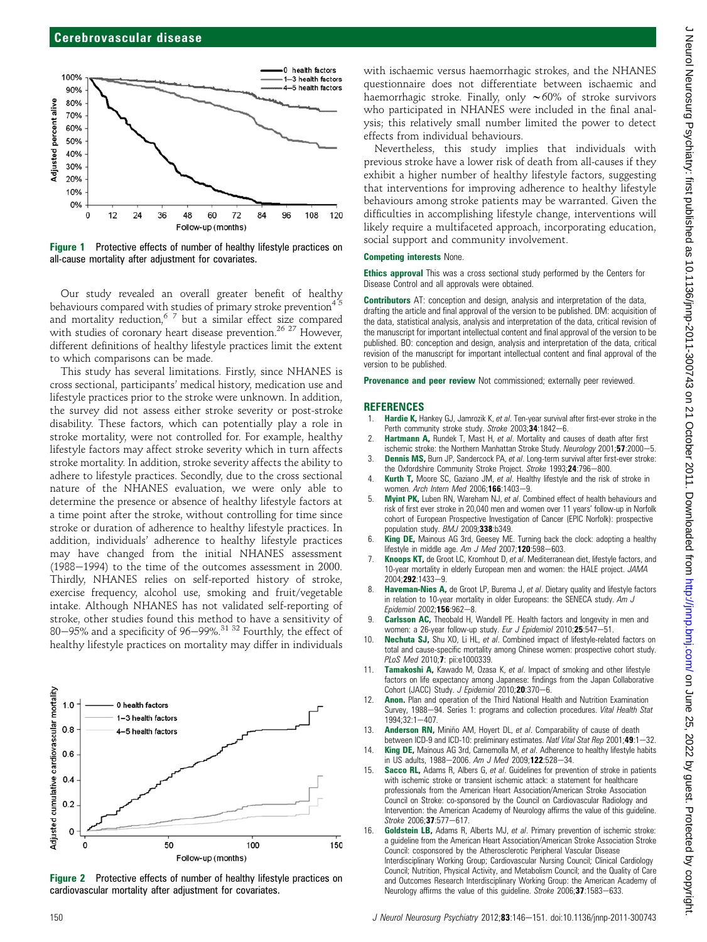

Figure 1 Protective effects of number of healthy lifestyle practices on all-cause mortality after adjustment for covariates.

Our study revealed an overall greater benefit of healthy behaviours compared with studies of primary stroke prevention $45$ and mortality reduction,  $67$  but a similar effect size compared with studies of coronary heart disease prevention.<sup>26 27</sup> However, different definitions of healthy lifestyle practices limit the extent to which comparisons can be made.

This study has several limitations. Firstly, since NHANES is cross sectional, participants' medical history, medication use and lifestyle practices prior to the stroke were unknown. In addition, the survey did not assess either stroke severity or post-stroke disability. These factors, which can potentially play a role in stroke mortality, were not controlled for. For example, healthy lifestyle factors may affect stroke severity which in turn affects stroke mortality. In addition, stroke severity affects the ability to adhere to lifestyle practices. Secondly, due to the cross sectional nature of the NHANES evaluation, we were only able to determine the presence or absence of healthy lifestyle factors at a time point after the stroke, without controlling for time since stroke or duration of adherence to healthy lifestyle practices. In addition, individuals' adherence to healthy lifestyle practices may have changed from the initial NHANES assessment  $(1988-1994)$  to the time of the outcomes assessment in 2000. Thirdly, NHANES relies on self-reported history of stroke, exercise frequency, alcohol use, smoking and fruit/vegetable intake. Although NHANES has not validated self-reporting of stroke, other studies found this method to have a sensitivity of 80-95% and a specificity of 96-99%.<sup>31 32</sup> Fourthly, the effect of healthy lifestyle practices on mortality may differ in individuals



Figure 2 Protective effects of number of healthy lifestyle practices on cardiovascular mortality after adjustment for covariates.

with ischaemic versus haemorrhagic strokes, and the NHANES questionnaire does not differentiate between ischaemic and haemorrhagic stroke. Finally, only  $\sim 60\%$  of stroke survivors who participated in NHANES were included in the final analysis; this relatively small number limited the power to detect effects from individual behaviours.

Nevertheless, this study implies that individuals with previous stroke have a lower risk of death from all-causes if they exhibit a higher number of healthy lifestyle factors, suggesting that interventions for improving adherence to healthy lifestyle behaviours among stroke patients may be warranted. Given the difficulties in accomplishing lifestyle change, interventions will likely require a multifaceted approach, incorporating education, social support and community involvement.

#### Competing interests None.

Ethics approval This was a cross sectional study performed by the Centers for Disease Control and all approvals were obtained.

Contributors AT: conception and design, analysis and interpretation of the data, drafting the article and final approval of the version to be published. DM: acquisition of the data, statistical analysis, analysis and interpretation of the data, critical revision of the manuscript for important intellectual content and final approval of the version to be published. BO: conception and design, analysis and interpretation of the data, critical revision of the manuscript for important intellectual content and final approval of the version to be published.

Provenance and peer review Not commissioned; externally peer reviewed.

#### **REFERENCES**

- 1. Hardie K, Hankey GJ, Jamrozik K, et al. Ten-year survival after first-ever stroke in the Perth community stroke study. Stroke 2003;34:1842-6.
- 2. Hartmann A, Rundek T, Mast H, et al. Mortality and causes of death after first ischemic stroke: the Northern Manhattan Stroke Study. Neurology 2001;57:2000-5.
- 3. **Dennis MS, Burn JP, Sandercock PA, et al. Long-term survival after first-ever stroke:** the Oxfordshire Community Stroke Project. Stroke 1993;24:796-800.
- 4. Kurth T, Moore SC, Gaziano JM, et al. Healthy lifestyle and the risk of stroke in women. Arch Intern Med 2006;166:1403-9.
- 5. **Myint PK,** Luben RN, Wareham NJ, et al. Combined effect of health behaviours and risk of first ever stroke in 20,040 men and women over 11 years' follow-up in Norfolk cohort of European Prospective Investigation of Cancer (EPIC Norfolk): prospective population study. BMJ 2009;338:b349.
- 6. King DE, Mainous AG 3rd, Geesey ME. Turning back the clock: adopting a healthy lifestyle in middle age.  $Am$  J Med 2007;120:598-603.
- Knoops KT, de Groot LC, Kromhout D, et al. Mediterranean diet, lifestyle factors, and 10-year mortality in elderly European men and women: the HALE project. JAMA 2004:292:1433-9.
- 8. Haveman-Nies A, de Groot LP, Burema J, et al. Dietary quality and lifestyle factors in relation to 10-year mortality in older Europeans: the SENECA study. Am J  $Epidemiol$  2002;156:962-8.
- Carlsson AC, Theobald H, Wandell PE. Health factors and longevity in men and women: a 26-year follow-up study. Eur J Epidemiol 2010;25:547-51.
- 10. Nechuta SJ, Shu XO, Li HL, et al. Combined impact of lifestyle-related factors on total and cause-specific mortality among Chinese women: prospective cohort study. PLoS Med 2010;7: pii:e1000339.
- 11. Tamakoshi A, Kawado M, Ozasa K, et al. Impact of smoking and other lifestyle factors on life expectancy among Japanese: findings from the Japan Collaborative Cohort (JACC) Study. J Epidemiol 2010; $20$ :370-6.
- 12. **Anon.** Plan and operation of the Third National Health and Nutrition Examination Survey, 1988-94. Series 1: programs and collection procedures. Vital Health Stat  $1994:32:1 - 407$
- 13. Anderson RN, Miniño AM, Hoyert DL, et al. Comparability of cause of death between ICD-9 and ICD-10: preliminary estimates. Natl Vital Stat Rep 2001;49:1-32.
- 14. King DE, Mainous AG 3rd, Carnemolla M, et al. Adherence to healthy lifestyle habits in US adults, 1988-2006. Am J Med 2009;122:528-34.
- 15. Sacco RL, Adams R, Albers G, et al. Guidelines for prevention of stroke in patients with ischemic stroke or transient ischemic attack: a statement for healthcare professionals from the American Heart Association/American Stroke Association Council on Stroke: co-sponsored by the Council on Cardiovascular Radiology and Intervention: the American Academy of Neurology affirms the value of this guideline.  $Stroke 2006:37:577 - 617.$
- 16. Goldstein LB, Adams R, Alberts MJ, et al. Primary prevention of ischemic stroke: a guideline from the American Heart Association/American Stroke Association Stroke Council: cosponsored by the Atherosclerotic Peripheral Vascular Disease Interdisciplinary Working Group; Cardiovascular Nursing Council; Clinical Cardiology Council; Nutrition, Physical Activity, and Metabolism Council; and the Quality of Care and Outcomes Research Interdisciplinary Working Group: the American Academy of Neurology affirms the value of this guideline. Stroke 2006;37:1583-633.